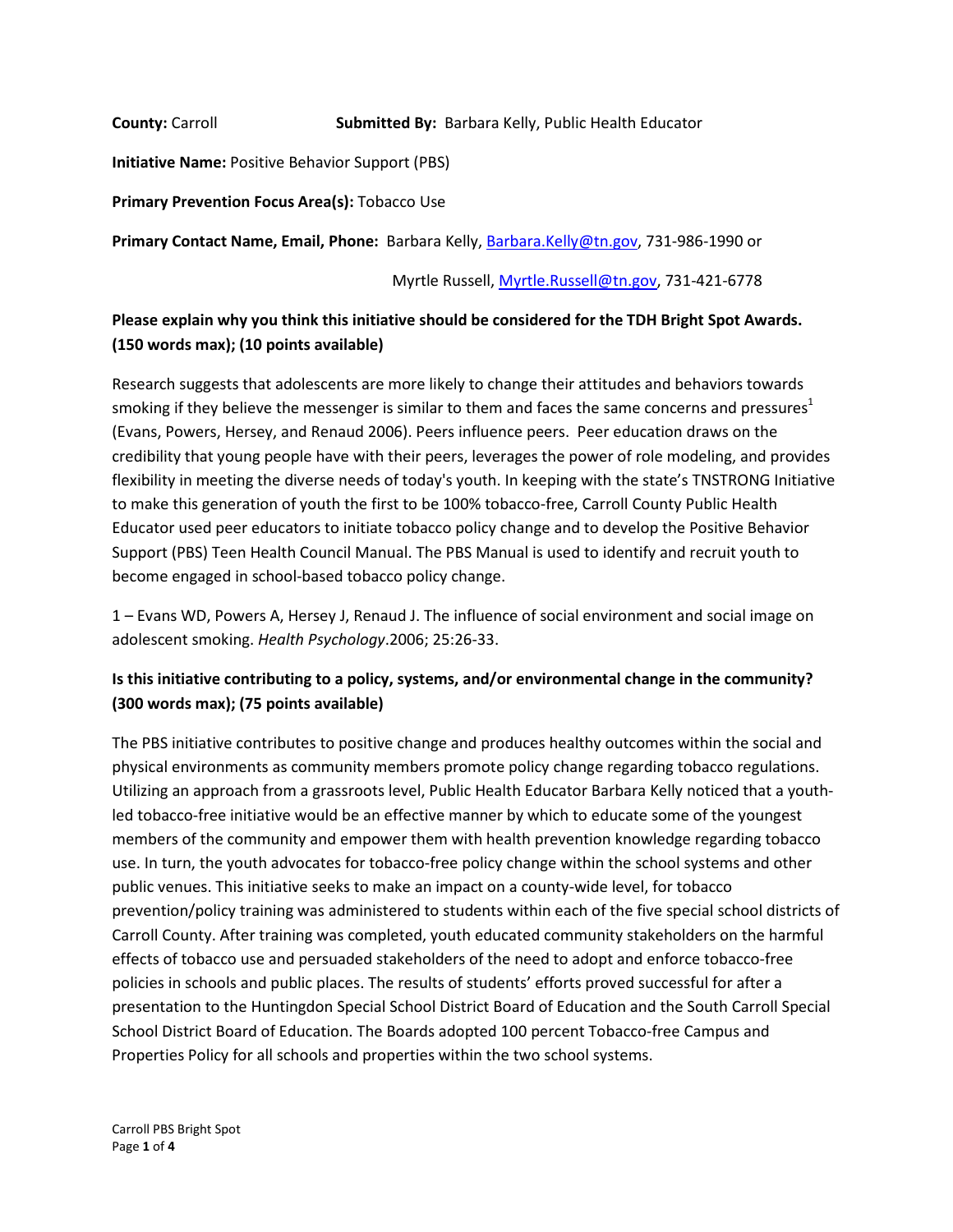**County:** Carroll **Submitted By:** Barbara Kelly, Public Health Educator

**Initiative Name:** Positive Behavior Support (PBS)

**Primary Prevention Focus Area(s):** Tobacco Use

**Primary Contact Name, Email, Phone:** Barbara Kelly[, Barbara.Kelly@tn.gov,](mailto:Barbara.Kelly@tn.gov) 731-986-1990 or

Myrtle Russell[, Myrtle.Russell@tn.gov,](mailto:Myrtle.Russell@tn.gov) 731-421-6778

## **Please explain why you think this initiative should be considered for the TDH Bright Spot Awards. (150 words max); (10 points available)**

Research suggests that adolescents are more likely to change their attitudes and behaviors towards smoking if they believe the messenger is similar to them and faces the same concerns and pressures<sup>1</sup> (Evans, Powers, Hersey, and Renaud 2006). Peers influence peers. Peer education draws on the credibility that young people have with their peers, leverages the power of role modeling, and provides flexibility in meeting the diverse needs of today's youth. In keeping with the state's TNSTRONG Initiative to make this generation of youth the first to be 100% tobacco-free, Carroll County Public Health Educator used peer educators to initiate tobacco policy change and to develop the Positive Behavior Support (PBS) Teen Health Council Manual. The PBS Manual is used to identify and recruit youth to become engaged in school-based tobacco policy change.

1 – Evans WD, Powers A, Hersey J, Renaud J. The influence of social environment and social image on adolescent smoking. *Health Psychology*.2006; 25:26-33.

### **Is this initiative contributing to a policy, systems, and/or environmental change in the community? (300 words max); (75 points available)**

The PBS initiative contributes to positive change and produces healthy outcomes within the social and physical environments as community members promote policy change regarding tobacco regulations. Utilizing an approach from a grassroots level, Public Health Educator Barbara Kelly noticed that a youthled tobacco-free initiative would be an effective manner by which to educate some of the youngest members of the community and empower them with health prevention knowledge regarding tobacco use. In turn, the youth advocates for tobacco-free policy change within the school systems and other public venues. This initiative seeks to make an impact on a county-wide level, for tobacco prevention/policy training was administered to students within each of the five special school districts of Carroll County. After training was completed, youth educated community stakeholders on the harmful effects of tobacco use and persuaded stakeholders of the need to adopt and enforce tobacco-free policies in schools and public places. The results of students' efforts proved successful for after a presentation to the Huntingdon Special School District Board of Education and the South Carroll Special School District Board of Education. The Boards adopted 100 percent Tobacco-free Campus and Properties Policy for all schools and properties within the two school systems.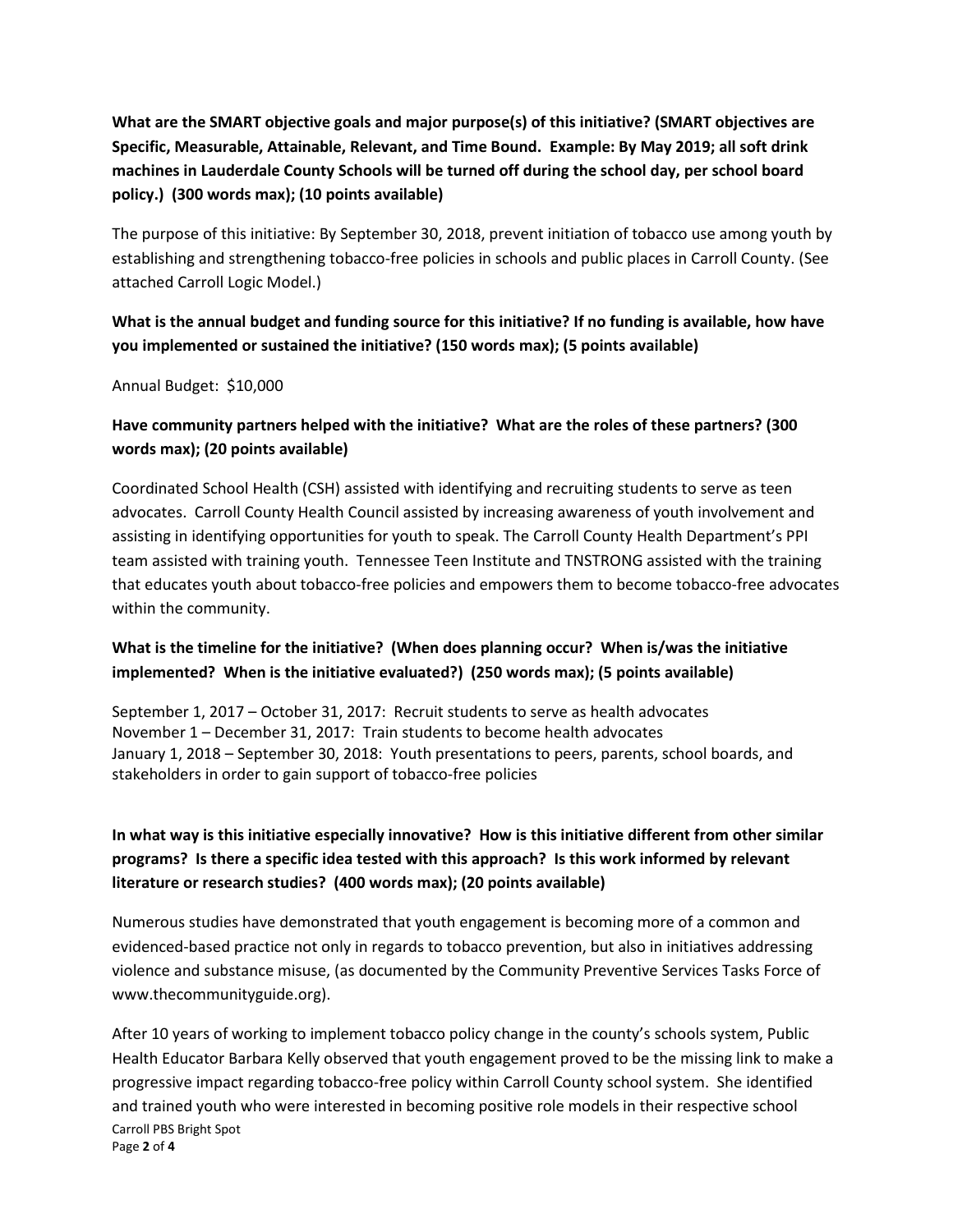**What are the SMART objective goals and major purpose(s) of this initiative? (SMART objectives are Specific, Measurable, Attainable, Relevant, and Time Bound. Example: By May 2019; all soft drink machines in Lauderdale County Schools will be turned off during the school day, per school board policy.) (300 words max); (10 points available)** 

The purpose of this initiative: By September 30, 2018, prevent initiation of tobacco use among youth by establishing and strengthening tobacco-free policies in schools and public places in Carroll County. (See attached Carroll Logic Model.)

# **What is the annual budget and funding source for this initiative? If no funding is available, how have you implemented or sustained the initiative? (150 words max); (5 points available)**

Annual Budget: \$10,000

## **Have community partners helped with the initiative? What are the roles of these partners? (300 words max); (20 points available)**

Coordinated School Health (CSH) assisted with identifying and recruiting students to serve as teen advocates. Carroll County Health Council assisted by increasing awareness of youth involvement and assisting in identifying opportunities for youth to speak. The Carroll County Health Department's PPI team assisted with training youth. Tennessee Teen Institute and TNSTRONG assisted with the training that educates youth about tobacco-free policies and empowers them to become tobacco-free advocates within the community.

#### **What is the timeline for the initiative? (When does planning occur? When is/was the initiative implemented? When is the initiative evaluated?) (250 words max); (5 points available)**

September 1, 2017 – October 31, 2017: Recruit students to serve as health advocates November 1 – December 31, 2017: Train students to become health advocates January 1, 2018 – September 30, 2018: Youth presentations to peers, parents, school boards, and stakeholders in order to gain support of tobacco-free policies

# **In what way is this initiative especially innovative? How is this initiative different from other similar programs? Is there a specific idea tested with this approach? Is this work informed by relevant literature or research studies? (400 words max); (20 points available)**

Numerous studies have demonstrated that youth engagement is becoming more of a common and evidenced-based practice not only in regards to tobacco prevention, but also in initiatives addressing violence and substance misuse, (as documented by the Community Preventive Services Tasks Force of www.thecommunityguide.org).

Carroll PBS Bright Spot Page **2** of **4** After 10 years of working to implement tobacco policy change in the county's schools system, Public Health Educator Barbara Kelly observed that youth engagement proved to be the missing link to make a progressive impact regarding tobacco-free policy within Carroll County school system. She identified and trained youth who were interested in becoming positive role models in their respective school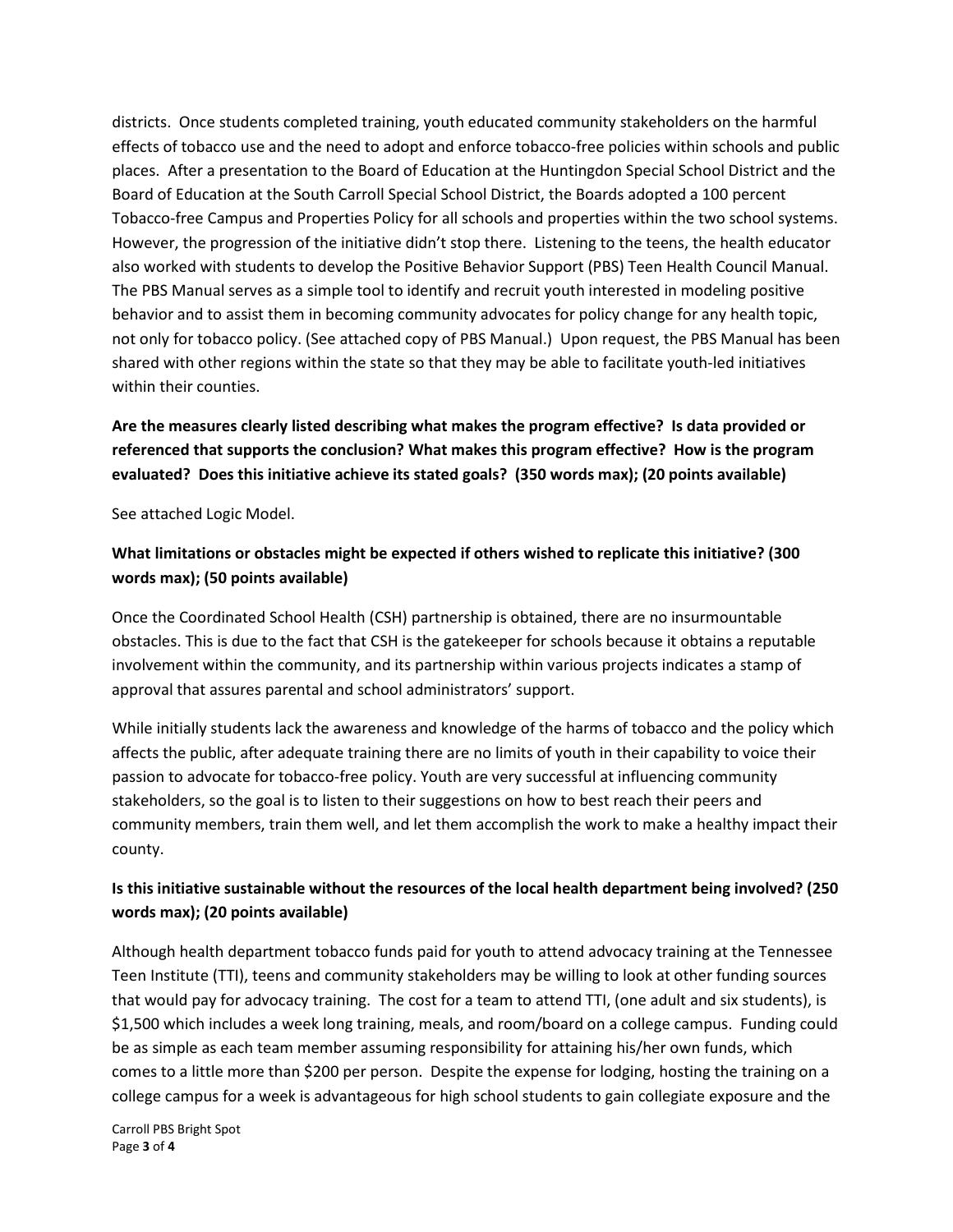districts. Once students completed training, youth educated community stakeholders on the harmful effects of tobacco use and the need to adopt and enforce tobacco-free policies within schools and public places. After a presentation to the Board of Education at the Huntingdon Special School District and the Board of Education at the South Carroll Special School District, the Boards adopted a 100 percent Tobacco-free Campus and Properties Policy for all schools and properties within the two school systems. However, the progression of the initiative didn't stop there. Listening to the teens, the health educator also worked with students to develop the Positive Behavior Support (PBS) Teen Health Council Manual. The PBS Manual serves as a simple tool to identify and recruit youth interested in modeling positive behavior and to assist them in becoming community advocates for policy change for any health topic, not only for tobacco policy. (See attached copy of PBS Manual.) Upon request, the PBS Manual has been shared with other regions within the state so that they may be able to facilitate youth-led initiatives within their counties.

# **Are the measures clearly listed describing what makes the program effective? Is data provided or referenced that supports the conclusion? What makes this program effective? How is the program evaluated? Does this initiative achieve its stated goals? (350 words max); (20 points available)**

See attached Logic Model.

# **What limitations or obstacles might be expected if others wished to replicate this initiative? (300 words max); (50 points available)**

Once the Coordinated School Health (CSH) partnership is obtained, there are no insurmountable obstacles. This is due to the fact that CSH is the gatekeeper for schools because it obtains a reputable involvement within the community, and its partnership within various projects indicates a stamp of approval that assures parental and school administrators' support.

While initially students lack the awareness and knowledge of the harms of tobacco and the policy which affects the public, after adequate training there are no limits of youth in their capability to voice their passion to advocate for tobacco-free policy. Youth are very successful at influencing community stakeholders, so the goal is to listen to their suggestions on how to best reach their peers and community members, train them well, and let them accomplish the work to make a healthy impact their county.

# **Is this initiative sustainable without the resources of the local health department being involved? (250 words max); (20 points available)**

Although health department tobacco funds paid for youth to attend advocacy training at the Tennessee Teen Institute (TTI), teens and community stakeholders may be willing to look at other funding sources that would pay for advocacy training. The cost for a team to attend TTI, (one adult and six students), is \$1,500 which includes a week long training, meals, and room/board on a college campus. Funding could be as simple as each team member assuming responsibility for attaining his/her own funds, which comes to a little more than \$200 per person. Despite the expense for lodging, hosting the training on a college campus for a week is advantageous for high school students to gain collegiate exposure and the